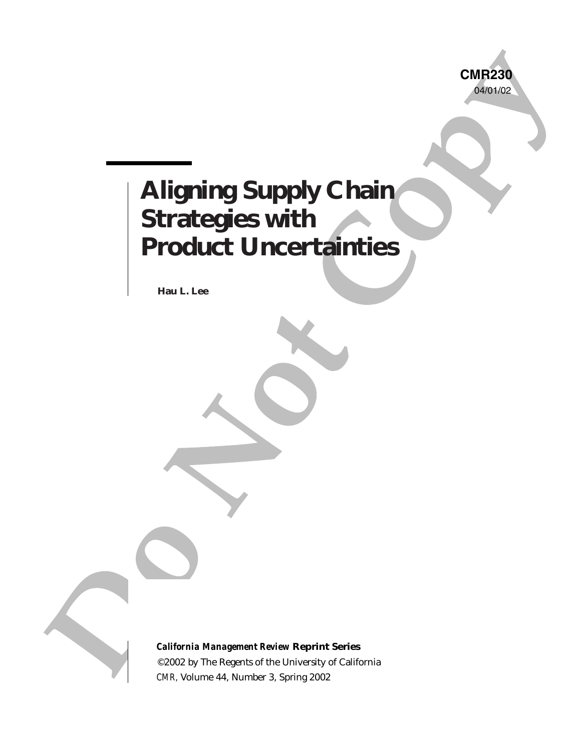

# China<br>
Strategies with<br>
Product Uncertainties<br>
Notice the Strategies with<br>
Notice the Strategies of the Copyright<br>
Control of the Strategies of the Copyright<br>
Control of the Copyright<br>
Control of the Copyright<br>
Control of **Aligning Supply Chain Strategies with Product Uncertainties**

**Hau L. Lee**

*California Management Review* **Reprint Series** ©2002 by The Regents of the University of California *CMR,* Volume 44, Number 3, Spring 2002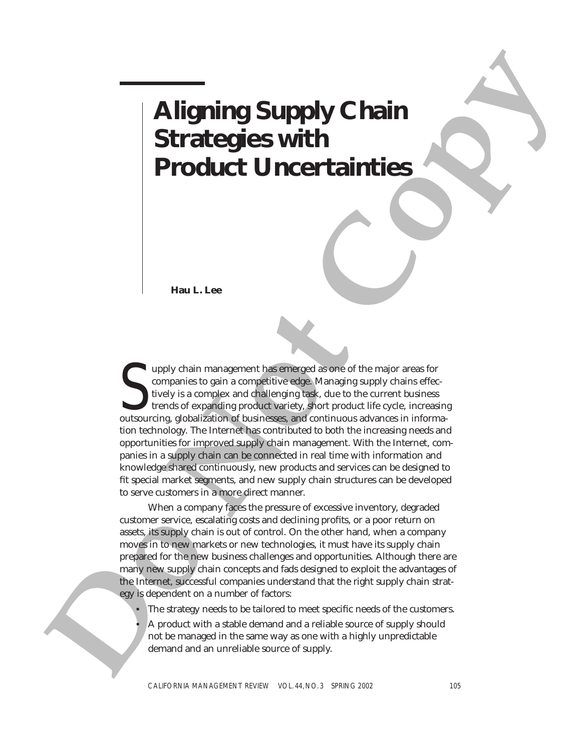# **Aligning Supply Chain Aligning Supply Chain**<br>Strategies with **Product Uncertainties**

**Hau L. Lee**

**Example 18 Strategies Strategies With**<br> **Example 2018**<br> **Example 2018**<br> **Example 2018**<br> **Example 2018**<br> **Example 2018**<br> **Example 2018**<br> **Example 2019**<br> **Example 2019**<br> **Example 2019**<br> **Example 2019**<br> **Example 2019**<br> **Exam** Upply chain management has emerged as one of the major areas for companies to gain a competitive edge. Managing supply chains effectively is a complex and challenging task, due to the current business trends of expanding p upply chain management has emerged as one of the major areas for companies to gain a competitive edge. Managing supply chains effectively is a complex and challenging task, due to the current business trends of expanding product variety, short product life cycle, increasing tion technology. The Internet has contributed to both the increasing needs and opportunities for improved supply chain management. With the Internet, companies in a supply chain can be connected in real time with information and knowledge shared continuously, new products and services can be designed to fit special market segments, and new supply chain structures can be developed to serve customers in a more direct manner.

When a company faces the pressure of excessive inventory, degraded customer service, escalating costs and declining profits, or a poor return on assets, its supply chain is out of control. On the other hand, when a company moves in to new markets or new technologies, it must have its supply chain prepared for the new business challenges and opportunities. Although there are many new supply chain concepts and fads designed to exploit the advantages of the Internet, successful companies understand that the right supply chain strategy is dependent on a number of factors:

- The strategy needs to be tailored to meet specific needs of the customers.
- A product with a stable demand and a reliable source of supply should not be managed in the same way as one with a highly unpredictable demand and an unreliable source of supply.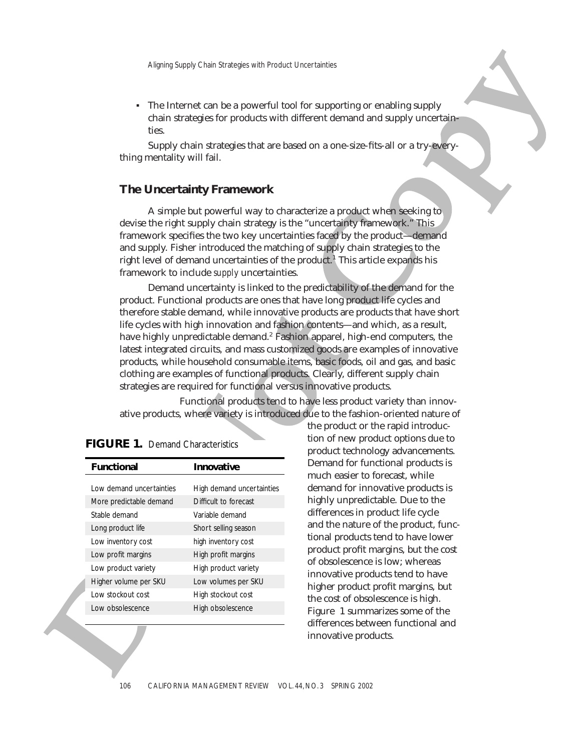• The Internet can be a powerful tool for supporting or enabling supply chain strategies for products with different demand and supply uncertainties. Aligning Supply Chain Strategies with Product Uncertainties<br>
The Internet can be a powerful tool for supporting or enabling supply<br>
chain strategies for products with different demand and supply uncertainties.<br>
Supply chai

thing mentality will fail.

# **The Uncertainty Framework**

A simple but powerful way to characterize a product when seeking to devise the right supply chain strategy is the "uncertainty framework." This framework specifies the two key uncertainties faced by the product—demand and supply. Fisher introduced the matching of supply chain strategies to the right level of demand uncertainties of the product.<sup>1</sup> This article expands his framework to include *supply* uncertainties.

claim stategies for products with different demand and supply untertiated<br>incomparison in the supply change of the same state of the supply change of<br>the growing terms of the supply control of the supply control of the<br>pr Demand uncertainty is linked to the predictability of the demand for the product. Functional products are ones that have long product life cycles and therefore stable demand, while innovative products are products that have short life cycles with high innovation and fashion contents—and which, as a result, have highly unpredictable demand.<sup>2</sup> Fashion apparel, high-end computers, the latest integrated circuits, and mass customized goods are examples of innovative products, while household consumable items, basic foods, oil and gas, and basic clothing are examples of functional products. Clearly, different supply chain strategies are required for functional versus innovative products.

Functional products tend to have less product variety than innovative products, where variety is introduced due to the fashion-oriented nature of

| <b>Functional</b>        | Innovative                |
|--------------------------|---------------------------|
|                          |                           |
| Low demand uncertainties | High demand uncertainties |
| More predictable demand  | Difficult to forecast     |
| Stable demand            | Variable demand           |
| Long product life        | Short selling season      |
| Low inventory cost       | high inventory cost       |
| Low profit margins       | High profit margins       |
| Low product variety      | High product variety      |
| Higher volume per SKU    | Low volumes per SKU       |
| Low stockout cost        | High stockout cost        |
| Low obsolescence         | High obsolescence         |
|                          |                           |

|  |  | <b>FIGURE 1. Demand Characteristics</b> |
|--|--|-----------------------------------------|
|  |  |                                         |

the product or the rapid introduction of new product options due to product technology advancements. Demand for functional products is much easier to forecast, while demand for innovative products is highly unpredictable. Due to the differences in product life cycle and the nature of the product, functional products tend to have lower product profit margins, but the cost of obsolescence is low; whereas innovative products tend to have higher product profit margins, but the cost of obsolescence is high. Figure 1 summarizes some of the differences between functional and innovative products.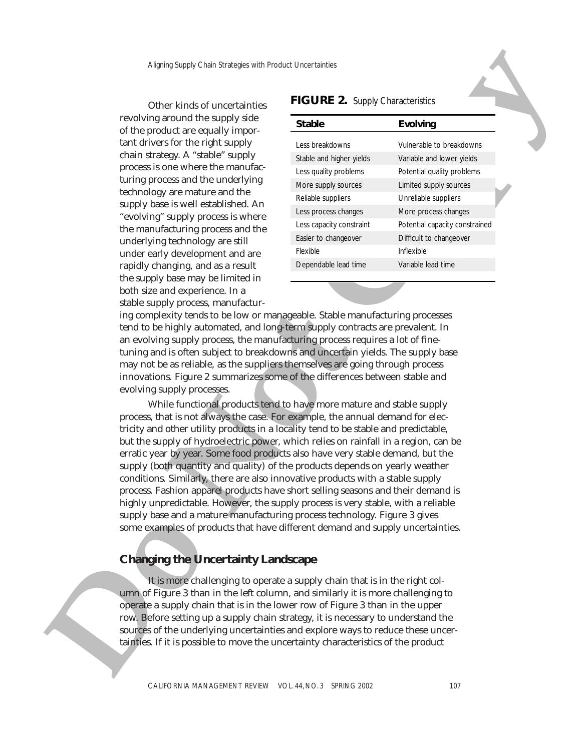revolving around the supply side of the product are equally important drivers for the right supply chain strategy. A "stable" supply process is one where the manufacturing process and the underlying technology are mature and the supply base is well established. An "evolving" supply process is where the manufacturing process and the underlying technology are still under early development and are rapidly changing, and as a result the supply base may be limited in both size and experience. In a stable supply process, manufactur-

| Aligning Supply Chain Strategies with Product Uncertainties<br>Other kinds of uncertainties | FIGURE 2. Supply Characteristics |                                |
|---------------------------------------------------------------------------------------------|----------------------------------|--------------------------------|
| ng around the supply side<br>product are equally impor-                                     | <b>Stable</b>                    | <b>Evolving</b>                |
| ivers for the right supply                                                                  | Less breakdowns                  | Vulnerable to breakdowns       |
| trategy. A "stable" supply                                                                  | Stable and higher yields         | Variable and lower yields      |
| s is one where the manufac-                                                                 | Less quality problems            | Potential quality problems     |
| process and the underlying                                                                  | More supply sources              | Limited supply sources         |
| logy are mature and the                                                                     | Reliable suppliers               | Unreliable suppliers           |
| base is well established. An<br>ing" supply process is where                                | Less process changes             | More process changes           |
| nufacturing process and the                                                                 | Less capacity constraint         | Potential capacity constrained |
| ying technology are still                                                                   | Easier to changeover             | Difficult to changeover        |
| early development and are                                                                   | Flexible                         | Inflexible                     |
| changing, and as a result                                                                   | Dependable lead time             | Variable lead time             |
| nnly hase may he limited in                                                                 |                                  |                                |

# ing complexity tends to be low or manageable. Stable manufacturing processes tend to be highly automated, and long-term supply contracts are prevalent. In an evolving supply process, the manufacturing process requires a lot of finetuning and is often subject to breakdowns and uncertain yields. The supply base may not be as reliable, as the suppliers themselves are going through process innovations. Figure 2 summarizes some of the differences between stable and evolving supply processes.

exuality around the supply yields.<br>
The product are equality joing-<br>
not dive product are equality joing-<br>
not divers for the collections of state subsets and the subsets of state subsets of the subsets of state subsets a While functional products tend to have more mature and stable supply process, that is not always the case. For example, the annual demand for electricity and other utility products in a locality tend to be stable and predictable, but the supply of hydroelectric power, which relies on rainfall in a region, can be erratic year by year. Some food products also have very stable demand, but the supply (both quantity and quality) of the products depends on yearly weather conditions. Similarly, there are also innovative products with a stable supply process. Fashion apparel products have short selling seasons and their demand is highly unpredictable. However, the supply process is very stable, with a reliable supply base and a mature manufacturing process technology. Figure 3 gives some examples of products that have different demand and supply uncertainties.

# **Changing the Uncertainty Landscape**

It is more challenging to operate a supply chain that is in the right column of Figure 3 than in the left column, and similarly it is more challenging to operate a supply chain that is in the lower row of Figure 3 than in the upper row. Before setting up a supply chain strategy, it is necessary to understand the sources of the underlying uncertainties and explore ways to reduce these uncertainties. If it is possible to move the uncertainty characteristics of the product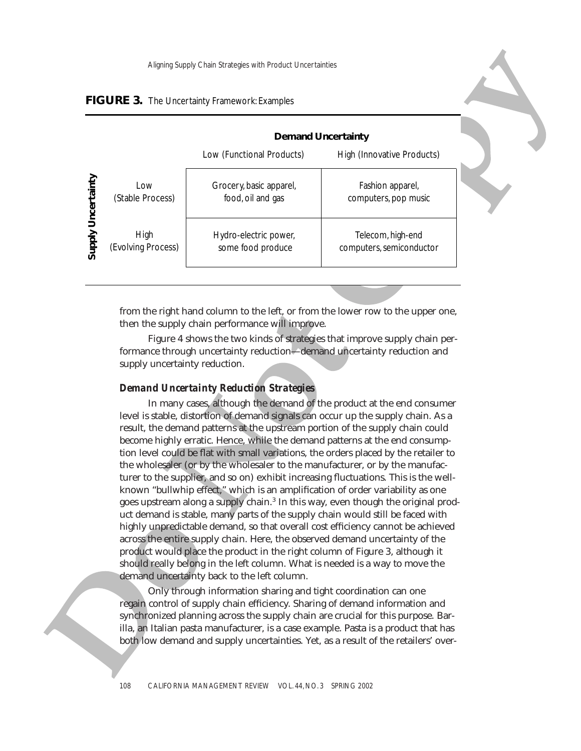| FIGURE 3. The Uncertainty Framework: Examples |  |
|-----------------------------------------------|--|
|-----------------------------------------------|--|

| Low (Functional Products)<br>Supply Uncertainty<br>Grocery, basic apparel,<br>Low<br>(Stable Process)<br>food, oil and gas<br>High<br>Hydro-electric power,<br>(Evolving Process)<br>some food produce<br>from the right hand column to the left, or from the lower row to the upper one,<br>then the supply chain performance will improve.<br>Figure 4 shows the two kinds of strategies that improve supply chain per-<br>formance through uncertainty reduction-demand uncertainty reduction and<br>supply uncertainty reduction.<br><b>Demand Uncertainty Reduction Strategies</b><br>In many cases, although the demand of the product at the end consumer<br>level is stable, distortion of demand signals can occur up the supply chain. As a<br>result, the demand patterns at the upstream portion of the supply chain could<br>become highly erratic. Hence, while the demand patterns at the end consump-<br>tion level could be flat with small variations, the orders placed by the retailer to<br>the wholesaler (or by the wholesaler to the manufacturer, or by the manufac-<br>turer to the supplier, and so on) exhibit increasing fluctuations. This is the well- | High (Innovative Products)<br>Fashion apparel,<br>computers, pop music<br>Telecom, high-end<br>computers, semiconductor |
|---------------------------------------------------------------------------------------------------------------------------------------------------------------------------------------------------------------------------------------------------------------------------------------------------------------------------------------------------------------------------------------------------------------------------------------------------------------------------------------------------------------------------------------------------------------------------------------------------------------------------------------------------------------------------------------------------------------------------------------------------------------------------------------------------------------------------------------------------------------------------------------------------------------------------------------------------------------------------------------------------------------------------------------------------------------------------------------------------------------------------------------------------------------------------------------|-------------------------------------------------------------------------------------------------------------------------|
|                                                                                                                                                                                                                                                                                                                                                                                                                                                                                                                                                                                                                                                                                                                                                                                                                                                                                                                                                                                                                                                                                                                                                                                       |                                                                                                                         |
|                                                                                                                                                                                                                                                                                                                                                                                                                                                                                                                                                                                                                                                                                                                                                                                                                                                                                                                                                                                                                                                                                                                                                                                       |                                                                                                                         |
|                                                                                                                                                                                                                                                                                                                                                                                                                                                                                                                                                                                                                                                                                                                                                                                                                                                                                                                                                                                                                                                                                                                                                                                       |                                                                                                                         |
|                                                                                                                                                                                                                                                                                                                                                                                                                                                                                                                                                                                                                                                                                                                                                                                                                                                                                                                                                                                                                                                                                                                                                                                       |                                                                                                                         |
| known "bullwhip effect," which is an amplification of order variability as one<br>goes upstream along a supply chain. <sup>3</sup> In this way, even though the original prod-<br>uct demand is stable, many parts of the supply chain would still be faced with<br>highly unpredictable demand, so that overall cost efficiency cannot be achieved<br>across the entire supply chain. Here, the observed demand uncertainty of the<br>product would place the product in the right column of Figure 3, although it<br>should really belong in the left column. What is needed is a way to move the<br>demand uncertainty back to the left column.                                                                                                                                                                                                                                                                                                                                                                                                                                                                                                                                    |                                                                                                                         |

#### *Demand Uncertainty Reduction Strategies*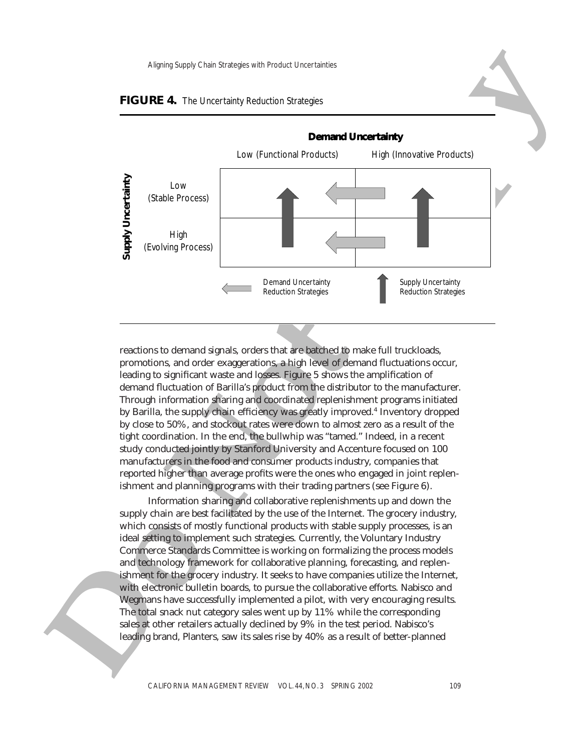

#### **FIGURE 4.** The Uncertainty Reduction Strategies

reactions to demand signals, orders that are batched to make full truckloads, promotions, and order exaggerations, a high level of demand fluctuations occur, leading to significant waste and losses. Figure 5 shows the amplification of demand fluctuation of Barilla's product from the distributor to the manufacturer. Through information sharing and coordinated replenishment programs initiated by Barilla, the supply chain efficiency was greatly improved.<sup>4</sup> Inventory dropped by close to 50%, and stockout rates were down to almost zero as a result of the tight coordination. In the end, the bullwhip was "tamed." Indeed, in a recent study conducted jointly by Stanford University and Accenture focused on 100 manufacturers in the food and consumer products industry, companies that reported higher than average profits were the ones who engaged in joint replenishment and planning programs with their trading partners (see Figure 6).

Information sharing and collaborative replenishments up and down the supply chain are best facilitated by the use of the Internet. The grocery industry, which consists of mostly functional products with stable supply processes, is an ideal setting to implement such strategies. Currently, the Voluntary Industry Commerce Standards Committee is working on formalizing the process models and technology framework for collaborative planning, forecasting, and replenishment for the grocery industry. It seeks to have companies utilize the Internet, with electronic bulletin boards, to pursue the collaborative efforts. Nabisco and Wegmans have successfully implemented a pilot, with very encouraging results. The total snack nut category sales went up by 11% while the corresponding sales at other retailers actually declined by 9% in the test period. Nabisco's leading brand, Planters, saw its sales rise by 40% as a result of better-planned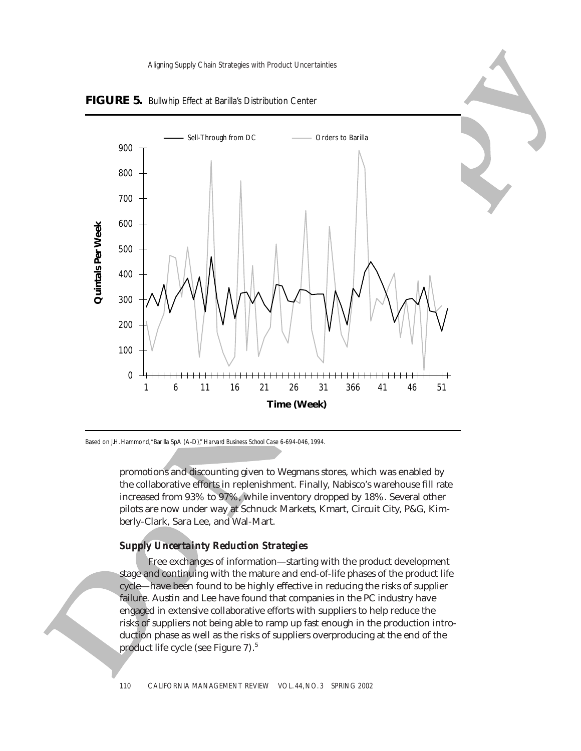Aligning Supply Chain Strategies with Product Uncertainties



**FIGURE 5.** Bullwhip Effect at Barilla's Distribution Center

Based on J.H. Hammond,"Barilla SpA (A-D)," *Harvard Business School Case 6-694-046,* 1994.

promotions and discounting given to Wegmans stores, which was enabled by the collaborative efforts in replenishment. Finally, Nabisco's warehouse fill rate increased from 93% to 97%, while inventory dropped by 18%. Several other pilots are now under way at Schnuck Markets, Kmart, Circuit City, P&G, Kimberly-Clark, Sara Lee, and Wal-Mart.

#### *Supply Uncertainty Reduction Strategies*

Free exchanges of information—starting with the product development stage and continuing with the mature and end-of-life phases of the product life cycle—have been found to be highly effective in reducing the risks of supplier failure. Austin and Lee have found that companies in the PC industry have engaged in extensive collaborative efforts with suppliers to help reduce the risks of suppliers not being able to ramp up fast enough in the production introduction phase as well as the risks of suppliers overproducing at the end of the product life cycle (see Figure 7).5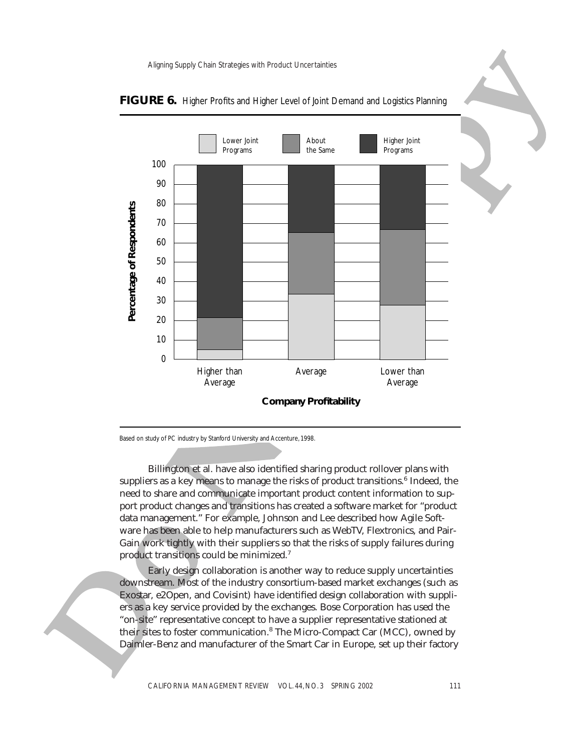

## FIGURE 6. Higher Profits and Higher Level of Joint Demand and Logistics Planning

Based on study of PC industry by Stanford University and Accenture, 1998.

Billington et al. have also identified sharing product rollover plans with suppliers as a key means to manage the risks of product transitions.<sup>6</sup> Indeed, the need to share and communicate important product content information to support product changes and transitions has created a software market for "product data management." For example, Johnson and Lee described how Agile Software has been able to help manufacturers such as WebTV, Flextronics, and Pair-Gain work tightly with their suppliers so that the risks of supply failures during product transitions could be minimized.7

Early design collaboration is another way to reduce supply uncertainties downstream. Most of the industry consortium-based market exchanges (such as Exostar, e2Open, and Covisint) have identified design collaboration with suppliers as a key service provided by the exchanges. Bose Corporation has used the "on-site" representative concept to have a supplier representative stationed at their sites to foster communication.<sup>8</sup> The Micro-Compact Car (MCC), owned by Daimler-Benz and manufacturer of the Smart Car in Europe, set up their factory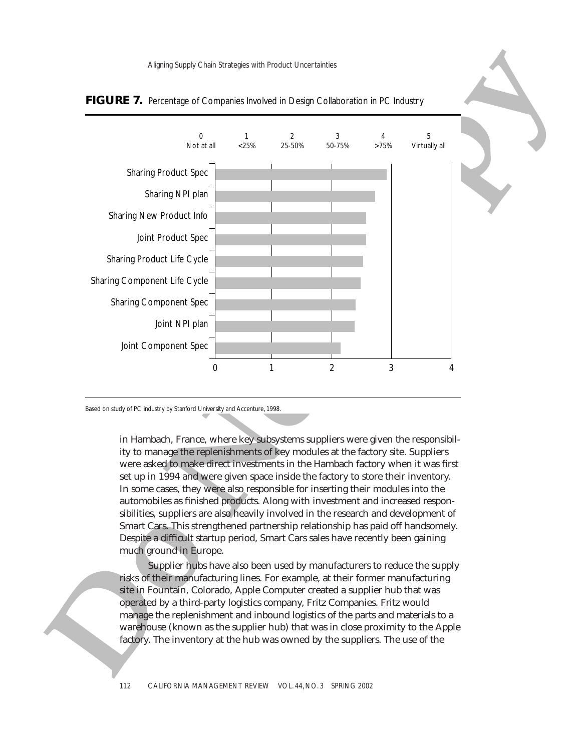Aligning Supply Chain Strategies with Product Uncertainties





Based on study of PC industry by Stanford University and Accenture, 1998.

in Hambach, France, where key subsystems suppliers were given the responsibility to manage the replenishments of key modules at the factory site. Suppliers were asked to make direct investments in the Hambach factory when it was first set up in 1994 and were given space inside the factory to store their inventory. In some cases, they were also responsible for inserting their modules into the automobiles as finished products. Along with investment and increased responsibilities, suppliers are also heavily involved in the research and development of Smart Cars. This strengthened partnership relationship has paid off handsomely. Despite a difficult startup period, Smart Cars sales have recently been gaining much ground in Europe.

Supplier hubs have also been used by manufacturers to reduce the supply risks of their manufacturing lines. For example, at their former manufacturing site in Fountain, Colorado, Apple Computer created a supplier hub that was operated by a third-party logistics company, Fritz Companies. Fritz would manage the replenishment and inbound logistics of the parts and materials to a warehouse (known as the supplier hub) that was in close proximity to the Apple factory. The inventory at the hub was owned by the suppliers. The use of the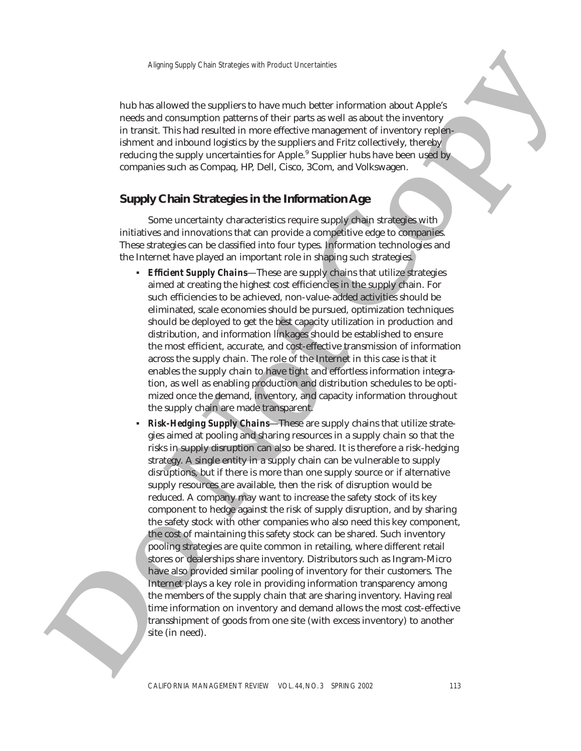hub has allowed the suppliers to have much better information about Apple's needs and consumption patterns of their parts as well as about the inventory in transit. This had resulted in more effective management of inventory replenishment and inbound logistics by the suppliers and Fritz collectively, thereby reducing the supply uncertainties for Apple. <sup>9</sup> Supplier hubs have been used by companies such as Compaq, HP, Dell, Cisco, 3Com, and Volkswagen.

# **Supply Chain Strategies in the Information Age**

Some uncertainty characteristics require supply chain strategies with initiatives and innovations that can provide a competitive edge to companies. These strategies can be classified into four types. Information technologies and the Internet have played an important role in shaping such strategies.

- **Efficient Supply Chains**—These are supply chains that utilize strategies aimed at creating the highest cost efficiencies in the supply chain. For such efficiencies to be achieved, non-value-added activities should be eliminated, scale economies should be pursued, optimization techniques should be deployed to get the best capacity utilization in production and distribution, and information linkages should be established to ensure the most efficient, accurate, and cost-effective transmission of information across the supply chain. The role of the Internet in this case is that it enables the supply chain to have tight and effortless information integration, as well as enabling production and distribution schedules to be optimized once the demand, inventory, and capacity information throughout the supply chain are made transparent.
- mends and consumption particles on their parts as well as datue the inversion of the consumption particles in the same of the consumer in the consumer state and the comparison of the particle of the consumer state of the **Risk-Hedging Supply Chains**—These are supply chains that utilize strategies aimed at pooling and sharing resources in a supply chain so that the risks in supply disruption can also be shared. It is therefore a risk-hedging strategy. A single entity in a supply chain can be vulnerable to supply disruptions, but if there is more than one supply source or if alternative supply resources are available, then the risk of disruption would be reduced. A company may want to increase the safety stock of its key component to hedge against the risk of supply disruption, and by sharing the safety stock with other companies who also need this key component, the cost of maintaining this safety stock can be shared. Such inventory pooling strategies are quite common in retailing, where different retail stores or dealerships share inventory. Distributors such as Ingram-Micro have also provided similar pooling of inventory for their customers. The Internet plays a key role in providing information transparency among the members of the supply chain that are sharing inventory. Having real time information on inventory and demand allows the most cost-effective transshipment of goods from one site (with excess inventory) to another site (in need).

y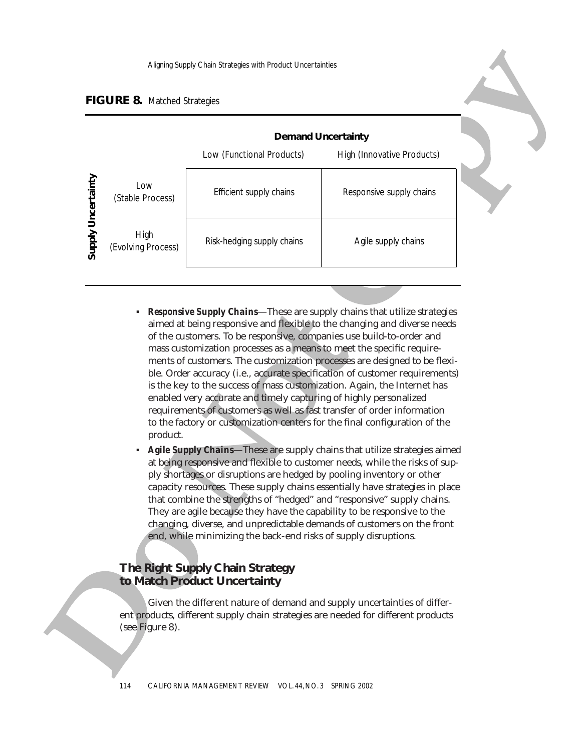# **FIGURE 8.** Matched Strategies

|                    |                            |                                                                                                                                                                                                                                                                                                                                                                                                                                                                                                                                                                                                                                                                                                                                                                                                                                                          | <b>Demand Uncertainty</b>  |                                                                                                                                                             |
|--------------------|----------------------------|----------------------------------------------------------------------------------------------------------------------------------------------------------------------------------------------------------------------------------------------------------------------------------------------------------------------------------------------------------------------------------------------------------------------------------------------------------------------------------------------------------------------------------------------------------------------------------------------------------------------------------------------------------------------------------------------------------------------------------------------------------------------------------------------------------------------------------------------------------|----------------------------|-------------------------------------------------------------------------------------------------------------------------------------------------------------|
|                    |                            | Low (Functional Products)                                                                                                                                                                                                                                                                                                                                                                                                                                                                                                                                                                                                                                                                                                                                                                                                                                | High (Innovative Products) |                                                                                                                                                             |
| Supply Uncertainty | Low<br>(Stable Process)    | Efficient supply chains                                                                                                                                                                                                                                                                                                                                                                                                                                                                                                                                                                                                                                                                                                                                                                                                                                  | Responsive supply chains   |                                                                                                                                                             |
|                    | High<br>(Evolving Process) | Risk-hedging supply chains                                                                                                                                                                                                                                                                                                                                                                                                                                                                                                                                                                                                                                                                                                                                                                                                                               | Agile supply chains        |                                                                                                                                                             |
|                    | product.<br>٠              | of the customers. To be responsive, companies use build-to-order and<br>mass customization processes as a means to meet the specific require-<br>ments of customers. The customization processes are designed to be flexi-<br>ble. Order accuracy (i.e., accurate specification of customer requirements)<br>is the key to the success of mass customization. Again, the Internet has<br>enabled very accurate and timely capturing of highly personalized<br>requirements of customers as well as fast transfer of order information<br>to the factory or customization centers for the final configuration of the<br>Agile Supply Chains-These are supply chains that utilize strategies aimed<br>at being responsive and flexible to customer needs, while the risks of sup-<br>ply shortages or disruptions are hedged by pooling inventory or other |                            | <b>Responsive Supply Chains-These are supply chains that utilize strategies</b><br>aimed at being responsive and flexible to the changing and diverse needs |

- *Responsive Supply Chains*—These are supply chains that utilize strategies aimed at being responsive and flexible to the changing and diverse needs of the customers. To be responsive, companies use build-to-order and mass customization processes as a means to meet the specific requirements of customers. The customization processes are designed to be flexible. Order accuracy (i.e., accurate specification of customer requirements) is the key to the success of mass customization. Again, the Internet has enabled very accurate and timely capturing of highly personalized requirements of customers as well as fast transfer of order information to the factory or customization centers for the final configuration of the product.
- Agile Supply Chains—These are supply chains that utilize strategies aimed at being responsive and flexible to customer needs, while the risks of supply shortages or disruptions are hedged by pooling inventory or other capacity resources. These supply chains essentially have strategies in place that combine the strengths of "hedged" and "responsive" supply chains. They are agile because they have the capability to be responsive to the changing, diverse, and unpredictable demands of customers on the front end, while minimizing the back-end risks of supply disruptions.

# **The Right Supply Chain Strategy to Match Product Uncertainty**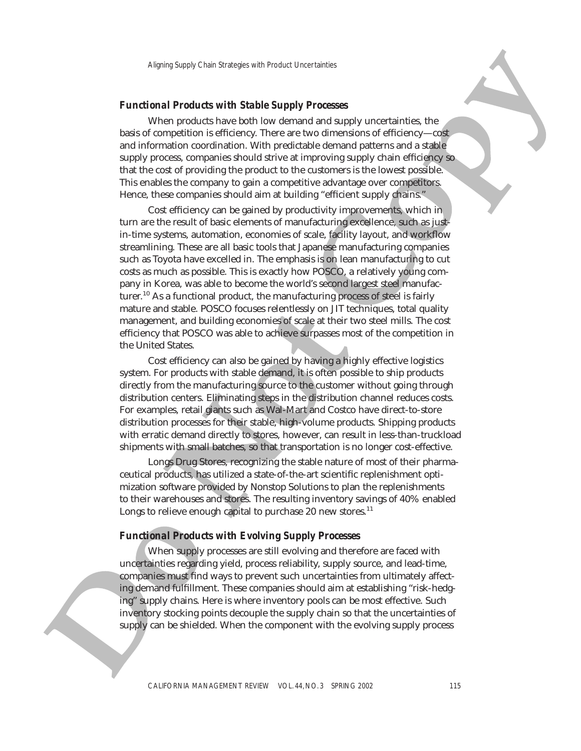#### *Functional Products with Stable Supply Processes*

basis of competition is efficiency. There are two dimensions of efficiency—cost and information coordination. With predictable demand patterns and a stable supply process, companies should strive at improving supply chain efficiency so Aligning Supply Chain Strategies with Product Uncertainties<br> **Concept of Alignal Products with Stable Supply Processes**<br>
When products have both low demand and supply uncertainties, the<br>
f competition is efficiency. There that the cost of providing the product to the customers is the lowest possible. This enables the company to gain a competitive advantage over competitors. Hence, these companies should aim at building "efficient supply chains."

bases of competition is increased about bases and any hyperometrizing, the model and the competition is efficiency. These are two dimensions of afficiency----original particles in the control of the competitive signal par Cost efficiency can be gained by productivity improvements, which in turn are the result of basic elements of manufacturing excellence, such as justin-time systems, automation, economies of scale, facility layout, and workflow streamlining. These are all basic tools that Japanese manufacturing companies such as Toyota have excelled in. The emphasis is on lean manufacturing to cut costs as much as possible. This is exactly how POSCO, a relatively young company in Korea, was able to become the world's second largest steel manufacturer.<sup>10</sup> As a functional product, the manufacturing process of steel is fairly mature and stable. POSCO focuses relentlessly on JIT techniques, total quality management, and building economies of scale at their two steel mills. The cost efficiency that POSCO was able to achieve surpasses most of the competition in the United States.

Cost efficiency can also be gained by having a highly effective logistics system. For products with stable demand, it is often possible to ship products directly from the manufacturing source to the customer without going through distribution centers. Eliminating steps in the distribution channel reduces costs. For examples, retail giants such as Wal-Mart and Costco have direct-to-store distribution processes for their stable, high-volume products. Shipping products with erratic demand directly to stores, however, can result in less-than-truckload shipments with small batches, so that transportation is no longer cost-effective.

Longs Drug Stores, recognizing the stable nature of most of their pharmaceutical products, has utilized a state-of-the-art scientific replenishment optimization software provided by Nonstop Solutions to plan the replenishments to their warehouses and stores. The resulting inventory savings of 40% enabled Longs to relieve enough capital to purchase 20 new stores. $^{11}$ 

#### *Functional Products with Evolving Supply Processes*

When supply processes are still evolving and therefore are faced with uncertainties regarding yield, process reliability, supply source, and lead-time, companies must find ways to prevent such uncertainties from ultimately affecting demand fulfillment. These companies should aim at establishing "risk-hedging" supply chains. Here is where inventory pools can be most effective. Such inventory stocking points decouple the supply chain so that the uncertainties of supply can be shielded. When the component with the evolving supply process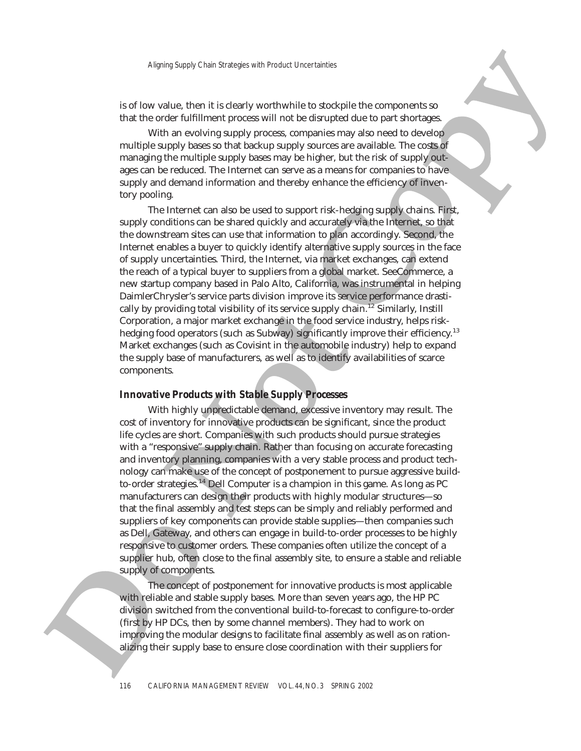is of low value, then it is clearly worthwhile to stockpile the components so that the order fulfillment process will not be disrupted due to part shortages.

multiple supply bases so that backup supply sources are available. The costs of managing the multiple supply bases may be higher, but the risk of supply out-Aligning Supply Chain Strategies with Product Uncertainties<br>We value, then it is clearly worthwhile to stockpile the components so<br>e order fulfillment process will not be disrupted due to part shortages.<br>With an evolving s ages can be reduced. The Internet can serve as a means for companies to have supply and demand information and thereby enhance the efficiency of inventory pooling.

The Internet can also be used to support risk-hedging supply chains. First, supply conditions can be shared quickly and accurately via the Internet, so that the downstream sites can use that information to plan accordingly. Second, the Internet enables a buyer to quickly identify alternative supply sources in the face of supply uncertainties. Third, the Internet, via market exchanges, can extend the reach of a typical buyer to suppliers from a global market. SeeCommerce, a new startup company based in Palo Alto, California, was instrumental in helping DaimlerChrysler's service parts division improve its service performance drastically by providing total visibility of its service supply chain.<sup>12</sup> Similarly, Instill Corporation, a major market exchange in the food service industry, helps riskhedging food operators (such as Subway) significantly improve their efficiency.<sup>13</sup> Market exchanges (such as Covisint in the automobile industry) help to expand the supply base of manufacturers, as well as to identify availabilities of scarce components.

#### *Innovative Products with Stable Supply Processes*

that the ender furtherm (process) will real the insteption is the part should be a proportional the ender of the interval to the distance of the control of the scaling space of the control of the scaling term and the stud With highly unpredictable demand, excessive inventory may result. The cost of inventory for innovative products can be significant, since the product life cycles are short. Companies with such products should pursue strategies with a "responsive" supply chain. Rather than focusing on accurate forecasting and inventory planning, companies with a very stable process and product technology can make use of the concept of postponement to pursue aggressive buildto-order strategies.<sup>14</sup> Dell Computer is a champion in this game. As long as PC manufacturers can design their products with highly modular structures—so that the final assembly and test steps can be simply and reliably performed and suppliers of key components can provide stable supplies—then companies such as Dell, Gateway, and others can engage in build-to-order processes to be highly responsive to customer orders. These companies often utilize the concept of a supplier hub, often close to the final assembly site, to ensure a stable and reliable supply of components.

The concept of postponement for innovative products is most applicable with reliable and stable supply bases. More than seven years ago, the HP PC division switched from the conventional build-to-forecast to configure-to-order (first by HP DCs, then by some channel members). They had to work on improving the modular designs to facilitate final assembly as well as on rationalizing their supply base to ensure close coordination with their suppliers for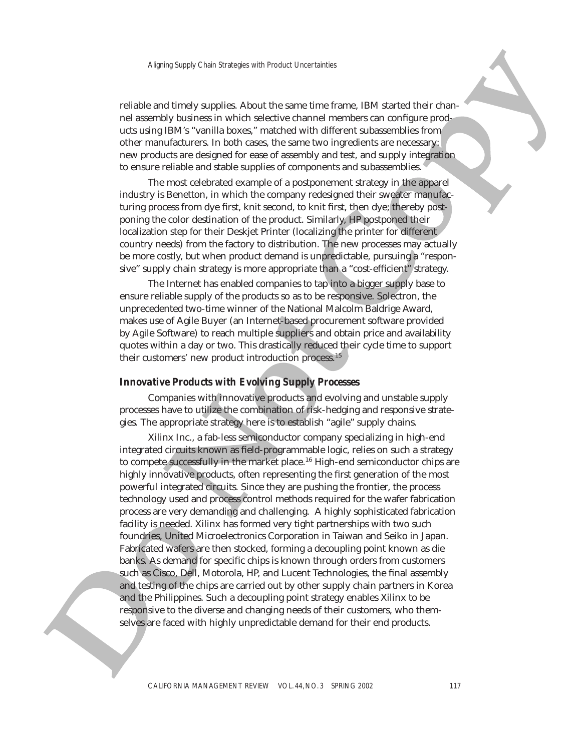reliable and timely supplies. About the same time frame, IBM started their channel assembly business in which selective channel members can configure products using IBM's "vanilla boxes," matched with different subassemblies from other manufacturers. In both cases, the same two ingredients are necessary: new products are designed for ease of assembly and test, and supply integration to ensure reliable and stable supplies of components and subassemblies.

The most celebrated example of a postponement strategy in the apparel industry is Benetton, in which the company redesigned their sweater manufacturing process from dye first, knit second, to knit first, then dye; thereby postponing the color destination of the product. Similarly, HP postponed their localization step for their Deskjet Printer (localizing the printer for different country needs) from the factory to distribution. The new processes may actually be more costly, but when product demand is unpredictable, pursuing a "responsive" supply chain strategy is more appropriate than a "cost-efficient" strategy.

The Internet has enabled companies to tap into a bigger supply base to ensure reliable supply of the products so as to be responsive. Solectron, the unprecedented two-time winner of the National Malcolm Baldrige Award, makes use of Agile Buyer (an Internet-based procurement software provided by Agile Software) to reach multiple suppliers and obtain price and availability quotes within a day or two. This drastically reduced their cycle time to support their customers' new product introduction process.<sup>15</sup>

#### *Innovative Products with Evolving Supply Processes*

Companies with innovative products and evolving and unstable supply processes have to utilize the combination of risk-hedging and responsive strategies. The appropriate strategy here is to establish "agile" supply chains.

nd assembly basticary which substitute the minute measure and mean to make particular substitute the minute measurements in that coses, the same two ingendient sets measurements in the minute measurements in that coses in Xilinx Inc., a fab-less semiconductor company specializing in high-end integrated circuits known as field-programmable logic, relies on such a strategy to compete successfully in the market place.<sup>16</sup> High-end semiconductor chips are highly innovative products, often representing the first generation of the most powerful integrated circuits. Since they are pushing the frontier, the process technology used and process control methods required for the wafer fabrication process are very demanding and challenging. A highly sophisticated fabrication facility is needed. Xilinx has formed very tight partnerships with two such foundries, United Microelectronics Corporation in Taiwan and Seiko in Japan. Fabricated wafers are then stocked, forming a decoupling point known as die banks. As demand for specific chips is known through orders from customers such as Cisco, Dell, Motorola, HP, and Lucent Technologies, the final assembly and testing of the chips are carried out by other supply chain partners in Korea and the Philippines. Such a decoupling point strategy enables Xilinx to be responsive to the diverse and changing needs of their customers, who themselves are faced with highly unpredictable demand for their end products.

y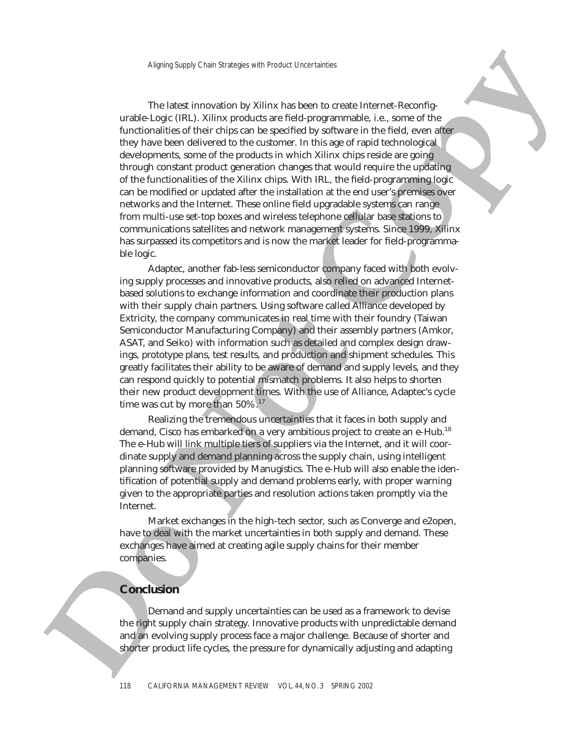urable cage (iii). Xhin performas are fuld-anguagementable, i.e., some of the product of the third performation of the product of the product in the field, specially the specified they have been abstracted on the column o urable-Logic (IRL). Xilinx products are field-programmable, i.e., some of the functionalities of their chips can be specified by software in the field, even after they have been delivered to the customer. In this age of rapid technological developments, some of the products in which Xilinx chips reside are going through constant product generation changes that would require the updating Aligning Supply Chain Strategies with Product Uncertainties<br>
The latest innovation by Xilinx has been to create Internet-Reconfig-<br>
Logic (IRL). Xilinx products are field-programmable, i.e., some of the<br>
malities of their of the functionalities of the Xilinx chips. With IRL, the field-programming logic can be modified or updated after the installation at the end user's premises over networks and the Internet. These online field upgradable systems can range from multi-use set-top boxes and wireless telephone cellular base stations to communications satellites and network management systems. Since 1999, Xilinx has surpassed its competitors and is now the market leader for field-programmable logic.

Adaptec, another fab-less semiconductor company faced with both evolving supply processes and innovative products, also relied on advanced Internetbased solutions to exchange information and coordinate their production plans with their supply chain partners. Using software called Alliance developed by Extricity, the company communicates in real time with their foundry (Taiwan Semiconductor Manufacturing Company) and their assembly partners (Amkor, ASAT, and Seiko) with information such as detailed and complex design drawings, prototype plans, test results, and production and shipment schedules. This greatly facilitates their ability to be aware of demand and supply levels, and they can respond quickly to potential mismatch problems. It also helps to shorten their new product development times. With the use of Alliance, Adaptec's cycle time was cut by more than 50%.<sup>17</sup>

Realizing the tremendous uncertainties that it faces in both supply and demand, Cisco has embarked on a very ambitious project to create an e-Hub.<sup>18</sup> The e-Hub will link multiple tiers of suppliers via the Internet, and it will coordinate supply and demand planning across the supply chain, using intelligent planning software provided by Manugistics. The e-Hub will also enable the identification of potential supply and demand problems early, with proper warning given to the appropriate parties and resolution actions taken promptly via the Internet.

Market exchanges in the high-tech sector, such as Converge and e2open, have to deal with the market uncertainties in both supply and demand. These exchanges have aimed at creating agile supply chains for their member companies.

# **Conclusion**

Demand and supply uncertainties can be used as a framework to devise the right supply chain strategy. Innovative products with unpredictable demand and an evolving supply process face a major challenge. Because of shorter and shorter product life cycles, the pressure for dynamically adjusting and adapting